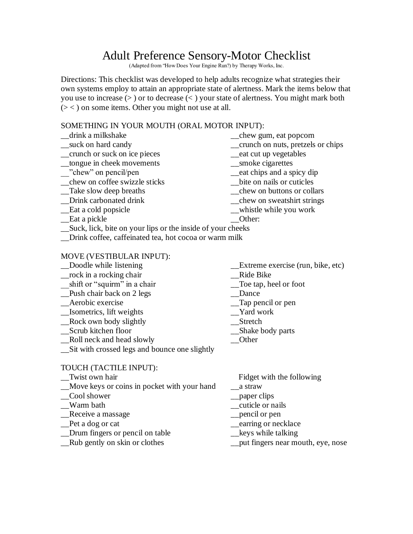# Adult Preference Sensory-Motor Checklist

(Adapted from "How Does Your Engine Run?) by Therapy Works, Inc.

Directions: This checklist was developed to help adults recognize what strategies their own systems employ to attain an appropriate state of alertness. Mark the items below that you use to increase (> ) or to decrease (< ) your state of alertness. You might mark both (> < ) on some items. Other you might not use at all.

# SOMETHING IN YOUR MOUTH (ORAL MOTOR INPUT):

\_\_drink a milkshake \_\_chew gum, eat popcorn \_\_suck on hard candy \_\_crunch on nuts, pretzels or chips \_\_crunch or suck on ice pieces \_\_eat cut up vegetables \_\_tongue in cheek movements \_\_smoke cigarettes \_\_"chew" on pencil/pen \_\_eat chips and a spicy dip \_\_chew on coffee swizzle sticks \_\_bite on nails or cuticles \_\_chew on buttons or collars \_\_Drink carbonated drink \_\_chew on sweatshirt strings \_\_Eat a cold popsicle \_\_whistle while you work Let a pickle Let  $\Box$  Dether: \_\_Suck, lick, bite on your lips or the inside of your cheeks \_\_Drink coffee, caffeinated tea, hot cocoa or warm milk

#### MOVE (VESTIBULAR INPUT):

- 
- \_\_rock in a rocking chair \_\_Ride Bike
- \_\_shift or "squirm" in a chair \_\_Toe tap, heel or foot
- \_\_Push chair back on 2 legs \_\_Dance
- 
- \_\_Isometrics, lift weights \_\_Yard work
- Rock own body slightly Stretch
- \_\_Scrub kitchen floor \_\_Shake body parts
- \_\_Roll neck and head slowly \_\_Other
- \_\_Sit with crossed legs and bounce one slightly

### TOUCH (TACTILE INPUT):

- 
- \_\_Move keys or coins in pocket with your hand \_\_a straw
- \_\_Cool shower \_\_paper clips
- 
- \_\_Receive a massage \_\_pencil or pen
- 
- \_\_Drum fingers or pencil on table \_\_keys while talking
- 
- \_\_Doodle while listening \_\_Extreme exercise (run, bike, etc)
	-
	-
	-
	- $\Box$ Tap pencil or pen
	-
	-
	-
	-
- \_\_Twist own hair Fidget with the following
	-
	-
	- $_$  \_\_cuticle or nails
	-
- Let a dog or cat earring or necklace
	-
- Rub gently on skin or clothes <u>put fingers near mouth</u>, eye, nose